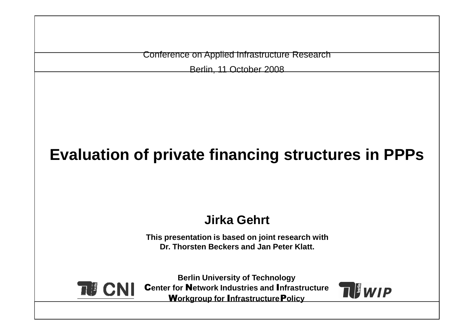Conference on Applied Infrastructure Research

Berlin, 11 October 2008

# **Evaluation of private financing structures in PPPs**

#### **Jirka Gehrt**

**This presentation is based on joint research with Dr. Thorsten Beckers and Jan Peter Klatt.**



**Berlin University of Technology** C**enter for** N**etwork Industries and** I**nfrastructure**W**orkgroup for** I**nfrastructure**P**olicy**

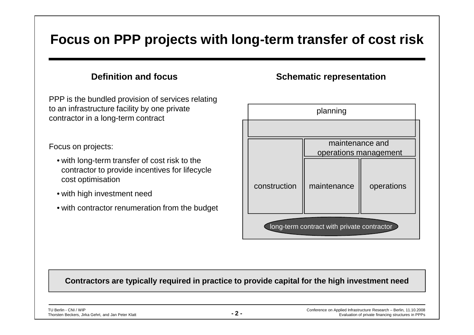#### **Focus on PPP projects with long-term transfer of cost risk**

#### **Definition and focus**

PPP is the bundled provision of services relating to an infrastructure facility by one private contractor in a long-term contract

Focus on projects:

- with long-term transfer of cost risk to the contractor to provide incentives for lifecycle cost optimisation
- with high investment need
- with contractor renumeration from the budget

#### **Schematic representation**



#### **Contractors are typically required in practice to provide capital for the high investment need**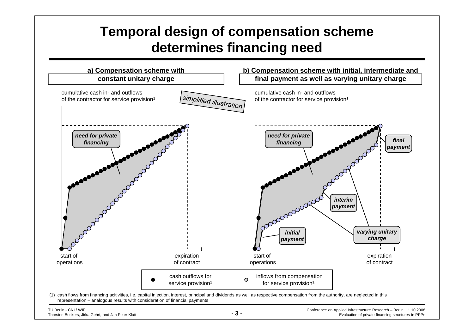## **Temporal design of compensation scheme determines financing need**

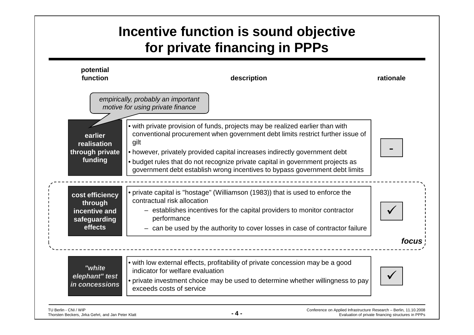## **Incentive function is sound objective for private financing in PPPs**

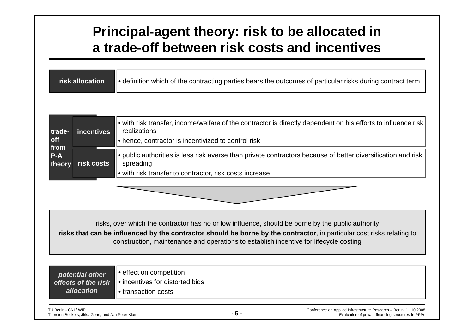#### **Principal-agent theory: risk to be allocated in a trade-off between risk costs and incentives**

| <b>Trisk allocation</b> | $\blacksquare$ $\blacksquare$ definition which of the contracting parties bears the outcomes of particular risks during contract term |
|-------------------------|---------------------------------------------------------------------------------------------------------------------------------------|
|-------------------------|---------------------------------------------------------------------------------------------------------------------------------------|

| trade-<br><b>off</b><br>from | incentives | $\left\vert \right\vert$ with risk transfer, income/welfare of the contractor is directly dependent on his efforts to influence risk<br>realizations<br>let hence, contractor is incentivized to control risk                           |
|------------------------------|------------|-----------------------------------------------------------------------------------------------------------------------------------------------------------------------------------------------------------------------------------------|
| $P-A$<br>theory              | risk costs | $\left\vert \right\vert$ public authorities is less risk averse than private contractors because of better diversification and risk<br>spreading<br>$\left\vert \cdot\right\vert$ with risk transfer to contractor, risk costs increase |

risks, over which the contractor has no or low influence, should be borne by the public authority

 **risks that can be influenced by the contractor should be borne by the contractor**, in particular cost risks relating to construction, maintenance and operations to establish incentive for lifecycle costing

TU Berlin - CNI / WIP THORST - DETERUS AND THE SECRET CONFERENCE ON Applied Infrastructure Research – Berlin, 11.10.2008<br>Thorsten Beckers, Jirka Gehrt, and Jan Peter Klatt Conference on Applied Infrastructure Research – Be • effect on competition • incentives for distorted bids• transaction costs**potential other effects of the risk allocation**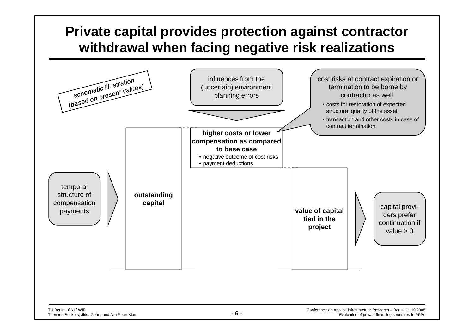## **Private capital provides protection against contractor withdrawal when facing negative risk realizations**

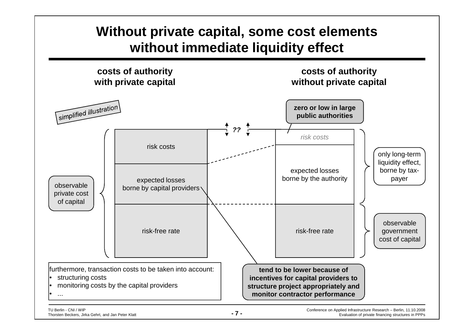## **Without private capital, some cost elements without immediate liquidity effect**

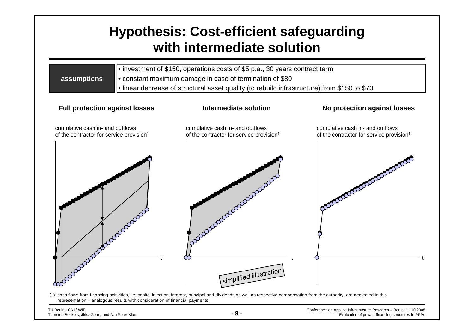### **Hypothesis: Cost-efficient safeguarding with intermediate solution**

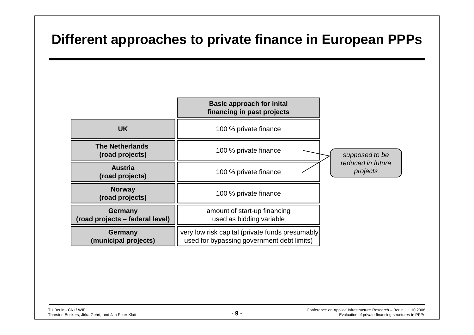#### **Different approaches to private finance in European PPPs**

|                                                   | <b>Basic approach for inital</b><br>financing in past projects                                |                               |
|---------------------------------------------------|-----------------------------------------------------------------------------------------------|-------------------------------|
| <b>UK</b>                                         | 100 % private finance                                                                         |                               |
| <b>The Netherlands</b><br>(road projects)         | 100 % private finance                                                                         | supposed to be                |
| <b>Austria</b><br>(road projects)                 | 100 % private finance                                                                         | reduced in future<br>projects |
| <b>Norway</b><br>(road projects)                  | 100 % private finance                                                                         |                               |
| <b>Germany</b><br>(road projects – federal level) | amount of start-up financing<br>used as bidding variable                                      |                               |
| <b>Germany</b><br>(municipal projects)            | very low risk capital (private funds presumably<br>used for bypassing government debt limits) |                               |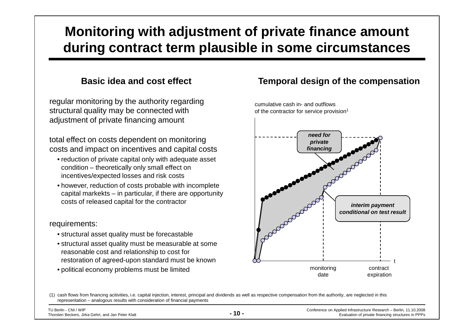### **Monitoring with adjustment of private finance amount during contract term plausible in some circumstances**

#### **Basic idea and cost effect**

regular monitoring by the authority regarding structural quality may be connected with adjustment of private financing amount

total effect on costs dependent on monitoring costs and impact on incentives and capital costs

- reduction of private capital only with adequate asset condition – theoretically only small effect on incentives/expected losses and risk costs
- however, reduction of costs probable with incomplete capital markekts – in particular, if there are opportunity costs of released capital for the contractor

#### requirements:

- structural asset quality must be forecastable
- structural asset quality must be measurable at some reasonable cost and relationship to cost for restoration of agreed-upon standard must be known
- political economy problems must be limited

#### **Temporal design of the compensation**

cumulative cash in- and outflows



(1) cash flows from financing acitivities, i.e. capital injection, interest, principal and dividends as well as respective compensation from the authority, are neglected in this representation – analogous results with consideration of financial payments